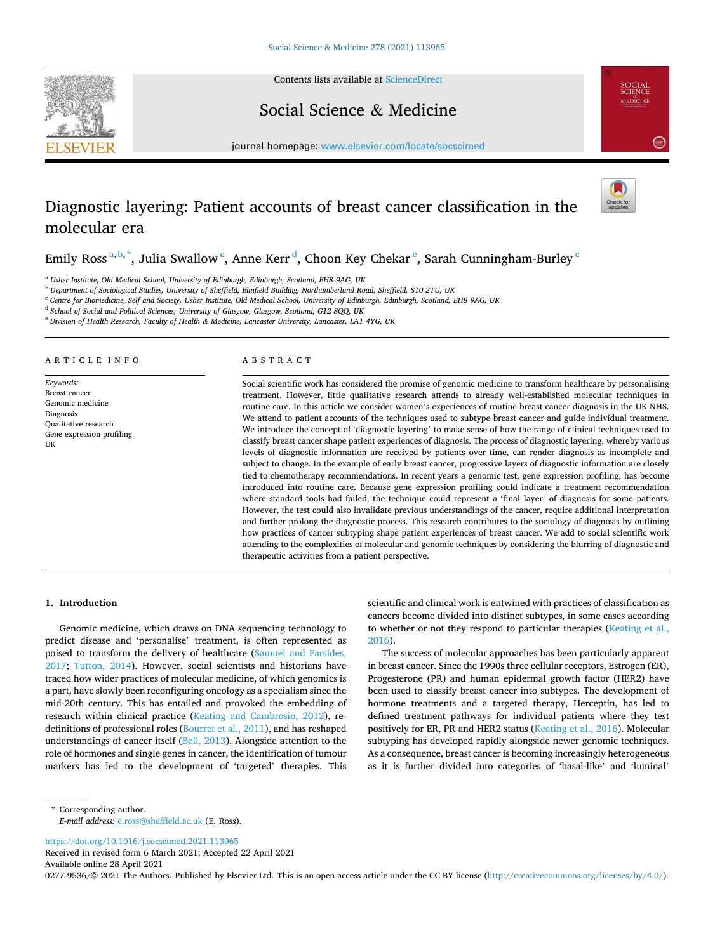Contents lists available at [ScienceDirect](www.sciencedirect.com/science/journal/02779536)





Social Science & Medicine

journal homepage: [www.elsevier.com/locate/socscimed](https://www.elsevier.com/locate/socscimed)

# Diagnostic layering: Patient accounts of breast cancer classification in the molecular era

Emily Ross $^{\rm a,b,*}$ , Julia Swallow  $^{\rm c}$ , Anne Kerr  $^{\rm d}$ , Choon Key Chekar  $^{\rm e}$ , Sarah Cunningham-Burley  $^{\rm c}$ 

<sup>a</sup> *Usher Institute, Old Medical School, University of Edinburgh, Edinburgh, Scotland, EH8 9AG, UK* 

<sup>b</sup> *Department of Sociological Studies, University of Sheffield, Elmfield Building, Northumberland Road, Sheffield, S10 2TU, UK* 

<sup>c</sup> *Centre for Biomedicine, Self and Society, Usher Institute, Old Medical School, University of Edinburgh, Edinburgh, Scotland, EH8 9AG, UK* 

<sup>d</sup> *School of Social and Political Sciences, University of Glasgow, Glasgow, Scotland, G12 8QQ, UK* 

<sup>e</sup> *Division of Health Research, Faculty of Health & Medicine, Lancaster University, Lancaster, LA1 4YG, UK* 

#### ARTICLE INFO

*Keywords:*  Breast cancer Genomic medicine Diagnosis Qualitative research Gene expression profiling **IIK** 

## ABSTRACT

Social scientific work has considered the promise of genomic medicine to transform healthcare by personalising treatment. However, little qualitative research attends to already well-established molecular techniques in routine care. In this article we consider women's experiences of routine breast cancer diagnosis in the UK NHS. We attend to patient accounts of the techniques used to subtype breast cancer and guide individual treatment. We introduce the concept of 'diagnostic layering' to make sense of how the range of clinical techniques used to classify breast cancer shape patient experiences of diagnosis. The process of diagnostic layering, whereby various levels of diagnostic information are received by patients over time, can render diagnosis as incomplete and subject to change. In the example of early breast cancer, progressive layers of diagnostic information are closely tied to chemotherapy recommendations. In recent years a genomic test, gene expression profiling, has become introduced into routine care. Because gene expression profiling could indicate a treatment recommendation where standard tools had failed, the technique could represent a 'final layer' of diagnosis for some patients. However, the test could also invalidate previous understandings of the cancer, require additional interpretation and further prolong the diagnostic process. This research contributes to the sociology of diagnosis by outlining how practices of cancer subtyping shape patient experiences of breast cancer. We add to social scientific work attending to the complexities of molecular and genomic techniques by considering the blurring of diagnostic and therapeutic activities from a patient perspective.

## **1. Introduction**

Genomic medicine, which draws on DNA sequencing technology to predict disease and 'personalise' treatment, is often represented as poised to transform the delivery of healthcare [\(Samuel and Farsides,](#page-8-0)  [2017;](#page-8-0) [Tutton, 2014](#page-8-0)). However, social scientists and historians have traced how wider practices of molecular medicine, of which genomics is a part, have slowly been reconfiguring oncology as a specialism since the mid-20th century. This has entailed and provoked the embedding of research within clinical practice [\(Keating and Cambrosio, 2012](#page-8-0)), redefinitions of professional roles ([Bourret et al., 2011\)](#page-8-0), and has reshaped understandings of cancer itself ([Bell, 2013](#page-8-0)). Alongside attention to the role of hormones and single genes in cancer, the identification of tumour markers has led to the development of 'targeted' therapies. This scientific and clinical work is entwined with practices of classification as cancers become divided into distinct subtypes, in some cases according to whether or not they respond to particular therapies ([Keating et al.,](#page-8-0)  [2016\)](#page-8-0).

The success of molecular approaches has been particularly apparent in breast cancer. Since the 1990s three cellular receptors, Estrogen (ER), Progesterone (PR) and human epidermal growth factor (HER2) have been used to classify breast cancer into subtypes. The development of hormone treatments and a targeted therapy, Herceptin, has led to defined treatment pathways for individual patients where they test positively for ER, PR and HER2 status [\(Keating et al., 2016\)](#page-8-0). Molecular subtyping has developed rapidly alongside newer genomic techniques. As a consequence, breast cancer is becoming increasingly heterogeneous as it is further divided into categories of 'basal-like' and 'luminal'

<https://doi.org/10.1016/j.socscimed.2021.113965>

Available online 28 April 2021 Received in revised form 6 March 2021; Accepted 22 April 2021

0277-9536/© 2021 The Authors. Published by Elsevier Ltd. This is an open access article under the CC BY license [\(http://creativecommons.org/licenses/by/4.0/\)](http://creativecommons.org/licenses/by/4.0/).

<sup>\*</sup> Corresponding author. *E-mail address:* [e.ross@sheffield.ac.uk](mailto:e.ross@sheffield.ac.uk) (E. Ross).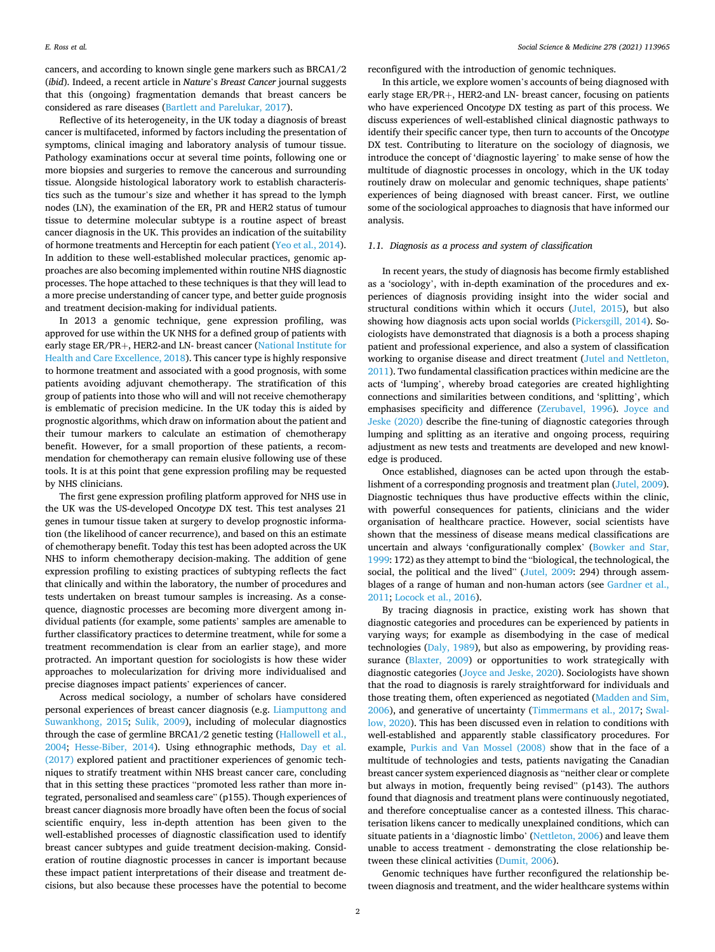cancers, and according to known single gene markers such as BRCA1/2 (*ibid*). Indeed, a recent article in *Nature*'s *Breast Cancer* journal suggests that this (ongoing) fragmentation demands that breast cancers be considered as rare diseases ([Bartlett and Parelukar, 2017\)](#page-8-0).

Reflective of its heterogeneity, in the UK today a diagnosis of breast cancer is multifaceted, informed by factors including the presentation of symptoms, clinical imaging and laboratory analysis of tumour tissue. Pathology examinations occur at several time points, following one or more biopsies and surgeries to remove the cancerous and surrounding tissue. Alongside histological laboratory work to establish characteristics such as the tumour's size and whether it has spread to the lymph nodes (LN), the examination of the ER, PR and HER2 status of tumour tissue to determine molecular subtype is a routine aspect of breast cancer diagnosis in the UK. This provides an indication of the suitability of hormone treatments and Herceptin for each patient [\(Yeo et al., 2014](#page-8-0)). In addition to these well-established molecular practices, genomic approaches are also becoming implemented within routine NHS diagnostic processes. The hope attached to these techniques is that they will lead to a more precise understanding of cancer type, and better guide prognosis and treatment decision-making for individual patients.

In 2013 a genomic technique, gene expression profiling, was approved for use within the UK NHS for a defined group of patients with early stage ER/PR+, HER2-and LN- breast cancer [\(National Institute for](#page-8-0)  [Health and Care Excellence, 2018\)](#page-8-0). This cancer type is highly responsive to hormone treatment and associated with a good prognosis, with some patients avoiding adjuvant chemotherapy. The stratification of this group of patients into those who will and will not receive chemotherapy is emblematic of precision medicine. In the UK today this is aided by prognostic algorithms, which draw on information about the patient and their tumour markers to calculate an estimation of chemotherapy benefit. However, for a small proportion of these patients, a recommendation for chemotherapy can remain elusive following use of these tools. It is at this point that gene expression profiling may be requested by NHS clinicians.

The first gene expression profiling platform approved for NHS use in the UK was the US-developed Onco*type* DX test. This test analyses 21 genes in tumour tissue taken at surgery to develop prognostic information (the likelihood of cancer recurrence), and based on this an estimate of chemotherapy benefit. Today this test has been adopted across the UK NHS to inform chemotherapy decision-making. The addition of gene expression profiling to existing practices of subtyping reflects the fact that clinically and within the laboratory, the number of procedures and tests undertaken on breast tumour samples is increasing. As a consequence, diagnostic processes are becoming more divergent among individual patients (for example, some patients' samples are amenable to further classificatory practices to determine treatment, while for some a treatment recommendation is clear from an earlier stage), and more protracted. An important question for sociologists is how these wider approaches to molecularization for driving more individualised and precise diagnoses impact patients' experiences of cancer.

Across medical sociology, a number of scholars have considered personal experiences of breast cancer diagnosis (e.g. [Liamputtong and](#page-8-0)  [Suwankhong, 2015;](#page-8-0) [Sulik, 2009](#page-8-0)), including of molecular diagnostics through the case of germline BRCA1/2 genetic testing ([Hallowell et al.,](#page-8-0)  [2004;](#page-8-0) [Hesse-Biber, 2014](#page-8-0)). Using ethnographic methods, [Day et al.](#page-8-0)  [\(2017\)](#page-8-0) explored patient and practitioner experiences of genomic techniques to stratify treatment within NHS breast cancer care, concluding that in this setting these practices "promoted less rather than more integrated, personalised and seamless care" (p155). Though experiences of breast cancer diagnosis more broadly have often been the focus of social scientific enquiry, less in-depth attention has been given to the well-established processes of diagnostic classification used to identify breast cancer subtypes and guide treatment decision-making. Consideration of routine diagnostic processes in cancer is important because these impact patient interpretations of their disease and treatment decisions, but also because these processes have the potential to become reconfigured with the introduction of genomic techniques.

In this article, we explore women's accounts of being diagnosed with early stage ER/PR+, HER2-and LN- breast cancer, focusing on patients who have experienced Onco*type* DX testing as part of this process. We discuss experiences of well-established clinical diagnostic pathways to identify their specific cancer type, then turn to accounts of the Onco*type*  DX test. Contributing to literature on the sociology of diagnosis, we introduce the concept of 'diagnostic layering' to make sense of how the multitude of diagnostic processes in oncology, which in the UK today routinely draw on molecular and genomic techniques, shape patients' experiences of being diagnosed with breast cancer. First, we outline some of the sociological approaches to diagnosis that have informed our analysis.

#### *1.1. Diagnosis as a process and system of classification*

In recent years, the study of diagnosis has become firmly established as a 'sociology', with in-depth examination of the procedures and experiences of diagnosis providing insight into the wider social and structural conditions within which it occurs ([Jutel, 2015\)](#page-8-0), but also showing how diagnosis acts upon social worlds ([Pickersgill, 2014\)](#page-8-0). Sociologists have demonstrated that diagnosis is a both a process shaping patient and professional experience, and also a system of classification working to organise disease and direct treatment ([Jutel and Nettleton,](#page-8-0)  [2011\)](#page-8-0). Two fundamental classification practices within medicine are the acts of 'lumping', whereby broad categories are created highlighting connections and similarities between conditions, and 'splitting', which emphasises specificity and difference ([Zerubavel, 1996\)](#page-8-0). [Joyce and](#page-8-0)  [Jeske \(2020\)](#page-8-0) describe the fine-tuning of diagnostic categories through lumping and splitting as an iterative and ongoing process, requiring adjustment as new tests and treatments are developed and new knowledge is produced.

Once established, diagnoses can be acted upon through the establishment of a corresponding prognosis and treatment plan [\(Jutel, 2009](#page-8-0)). Diagnostic techniques thus have productive effects within the clinic, with powerful consequences for patients, clinicians and the wider organisation of healthcare practice. However, social scientists have shown that the messiness of disease means medical classifications are uncertain and always 'configurationally complex' [\(Bowker and Star,](#page-8-0)  [1999:](#page-8-0) 172) as they attempt to bind the "biological, the technological, the social, the political and the lived" ([Jutel, 2009:](#page-8-0) 294) through assemblages of a range of human and non-human actors (see [Gardner et al.,](#page-8-0)  [2011; Locock et al., 2016](#page-8-0)).

By tracing diagnosis in practice, existing work has shown that diagnostic categories and procedures can be experienced by patients in varying ways; for example as disembodying in the case of medical technologies [\(Daly, 1989](#page-8-0)), but also as empowering, by providing reas-surance ([Blaxter, 2009](#page-8-0)) or opportunities to work strategically with diagnostic categories ([Joyce and Jeske, 2020\)](#page-8-0). Sociologists have shown that the road to diagnosis is rarely straightforward for individuals and those treating them, often experienced as negotiated [\(Madden and Sim,](#page-8-0)  [2006\)](#page-8-0), and generative of uncertainty ([Timmermans et al., 2017](#page-8-0); [Swal](#page-8-0)[low, 2020](#page-8-0)). This has been discussed even in relation to conditions with well-established and apparently stable classificatory procedures. For example, [Purkis and Van Mossel \(2008\)](#page-8-0) show that in the face of a multitude of technologies and tests, patients navigating the Canadian breast cancer system experienced diagnosis as "neither clear or complete but always in motion, frequently being revised" (p143). The authors found that diagnosis and treatment plans were continuously negotiated, and therefore conceptualise cancer as a contested illness. This characterisation likens cancer to medically unexplained conditions, which can situate patients in a 'diagnostic limbo' [\(Nettleton, 2006](#page-8-0)) and leave them unable to access treatment - demonstrating the close relationship between these clinical activities [\(Dumit, 2006\)](#page-8-0).

Genomic techniques have further reconfigured the relationship between diagnosis and treatment, and the wider healthcare systems within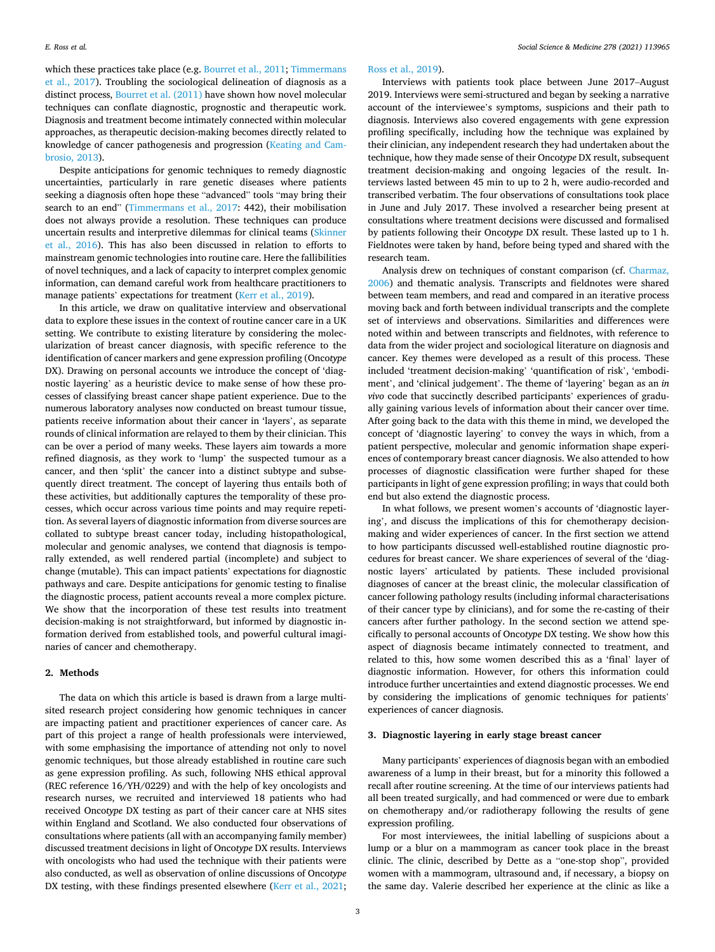*Social Science & Medicine 278 (2021) 113965*

which these practices take place (e.g. [Bourret et al., 2011](#page-8-0); Timmermans [et al., 2017\)](#page-8-0). Troubling the sociological delineation of diagnosis as a distinct process, [Bourret et al. \(2011\)](#page-8-0) have shown how novel molecular techniques can conflate diagnostic, prognostic and therapeutic work. Diagnosis and treatment become intimately connected within molecular approaches, as therapeutic decision-making becomes directly related to knowledge of cancer pathogenesis and progression ([Keating and Cam](#page-8-0)[brosio, 2013](#page-8-0)).

Despite anticipations for genomic techniques to remedy diagnostic uncertainties, particularly in rare genetic diseases where patients seeking a diagnosis often hope these "advanced" tools "may bring their search to an end" [\(Timmermans et al., 2017](#page-8-0): 442), their mobilisation does not always provide a resolution. These techniques can produce uncertain results and interpretive dilemmas for clinical teams ([Skinner](#page-8-0)  [et al., 2016](#page-8-0)). This has also been discussed in relation to efforts to mainstream genomic technologies into routine care. Here the fallibilities of novel techniques, and a lack of capacity to interpret complex genomic information, can demand careful work from healthcare practitioners to manage patients' expectations for treatment [\(Kerr et al., 2019\)](#page-8-0).

In this article, we draw on qualitative interview and observational data to explore these issues in the context of routine cancer care in a UK setting. We contribute to existing literature by considering the molecularization of breast cancer diagnosis, with specific reference to the identification of cancer markers and gene expression profiling (Onco*type*  DX). Drawing on personal accounts we introduce the concept of 'diagnostic layering' as a heuristic device to make sense of how these processes of classifying breast cancer shape patient experience. Due to the numerous laboratory analyses now conducted on breast tumour tissue, patients receive information about their cancer in 'layers', as separate rounds of clinical information are relayed to them by their clinician. This can be over a period of many weeks. These layers aim towards a more refined diagnosis, as they work to 'lump' the suspected tumour as a cancer, and then 'split' the cancer into a distinct subtype and subsequently direct treatment. The concept of layering thus entails both of these activities, but additionally captures the temporality of these processes, which occur across various time points and may require repetition. As several layers of diagnostic information from diverse sources are collated to subtype breast cancer today, including histopathological, molecular and genomic analyses, we contend that diagnosis is temporally extended, as well rendered partial (incomplete) and subject to change (mutable). This can impact patients' expectations for diagnostic pathways and care. Despite anticipations for genomic testing to finalise the diagnostic process, patient accounts reveal a more complex picture. We show that the incorporation of these test results into treatment decision-making is not straightforward, but informed by diagnostic information derived from established tools, and powerful cultural imaginaries of cancer and chemotherapy.

# **2. Methods**

The data on which this article is based is drawn from a large multisited research project considering how genomic techniques in cancer are impacting patient and practitioner experiences of cancer care. As part of this project a range of health professionals were interviewed, with some emphasising the importance of attending not only to novel genomic techniques, but those already established in routine care such as gene expression profiling. As such, following NHS ethical approval (REC reference 16/YH/0229) and with the help of key oncologists and research nurses, we recruited and interviewed 18 patients who had received Onco*type* DX testing as part of their cancer care at NHS sites within England and Scotland. We also conducted four observations of consultations where patients (all with an accompanying family member) discussed treatment decisions in light of Onco*type* DX results. Interviews with oncologists who had used the technique with their patients were also conducted, as well as observation of online discussions of Onco*type*  DX testing, with these findings presented elsewhere ([Kerr et al., 2021](#page-8-0);

#### [Ross et al., 2019](#page-8-0)).

Interviews with patients took place between June 2017–August 2019. Interviews were semi-structured and began by seeking a narrative account of the interviewee's symptoms, suspicions and their path to diagnosis. Interviews also covered engagements with gene expression profiling specifically, including how the technique was explained by their clinician, any independent research they had undertaken about the technique, how they made sense of their Onco*type* DX result, subsequent treatment decision-making and ongoing legacies of the result. Interviews lasted between 45 min to up to 2 h, were audio-recorded and transcribed verbatim. The four observations of consultations took place in June and July 2017. These involved a researcher being present at consultations where treatment decisions were discussed and formalised by patients following their Onco*type* DX result. These lasted up to 1 h. Fieldnotes were taken by hand, before being typed and shared with the research team.

Analysis drew on techniques of constant comparison (cf. [Charmaz,](#page-8-0)  [2006\)](#page-8-0) and thematic analysis. Transcripts and fieldnotes were shared between team members, and read and compared in an iterative process moving back and forth between individual transcripts and the complete set of interviews and observations. Similarities and differences were noted within and between transcripts and fieldnotes, with reference to data from the wider project and sociological literature on diagnosis and cancer. Key themes were developed as a result of this process. These included 'treatment decision-making' 'quantification of risk', 'embodiment', and 'clinical judgement'. The theme of 'layering' began as an *in vivo* code that succinctly described participants' experiences of gradually gaining various levels of information about their cancer over time. After going back to the data with this theme in mind, we developed the concept of 'diagnostic layering' to convey the ways in which, from a patient perspective, molecular and genomic information shape experiences of contemporary breast cancer diagnosis. We also attended to how processes of diagnostic classification were further shaped for these participants in light of gene expression profiling; in ways that could both end but also extend the diagnostic process.

In what follows, we present women's accounts of 'diagnostic layering', and discuss the implications of this for chemotherapy decisionmaking and wider experiences of cancer. In the first section we attend to how participants discussed well-established routine diagnostic procedures for breast cancer. We share experiences of several of the 'diagnostic layers' articulated by patients. These included provisional diagnoses of cancer at the breast clinic, the molecular classification of cancer following pathology results (including informal characterisations of their cancer type by clinicians), and for some the re-casting of their cancers after further pathology. In the second section we attend specifically to personal accounts of Onco*type* DX testing. We show how this aspect of diagnosis became intimately connected to treatment, and related to this, how some women described this as a 'final' layer of diagnostic information. However, for others this information could introduce further uncertainties and extend diagnostic processes. We end by considering the implications of genomic techniques for patients' experiences of cancer diagnosis.

### **3. Diagnostic layering in early stage breast cancer**

Many participants' experiences of diagnosis began with an embodied awareness of a lump in their breast, but for a minority this followed a recall after routine screening. At the time of our interviews patients had all been treated surgically, and had commenced or were due to embark on chemotherapy and/or radiotherapy following the results of gene expression profiling.

For most interviewees, the initial labelling of suspicions about a lump or a blur on a mammogram as cancer took place in the breast clinic. The clinic, described by Dette as a "one-stop shop", provided women with a mammogram, ultrasound and, if necessary, a biopsy on the same day. Valerie described her experience at the clinic as like a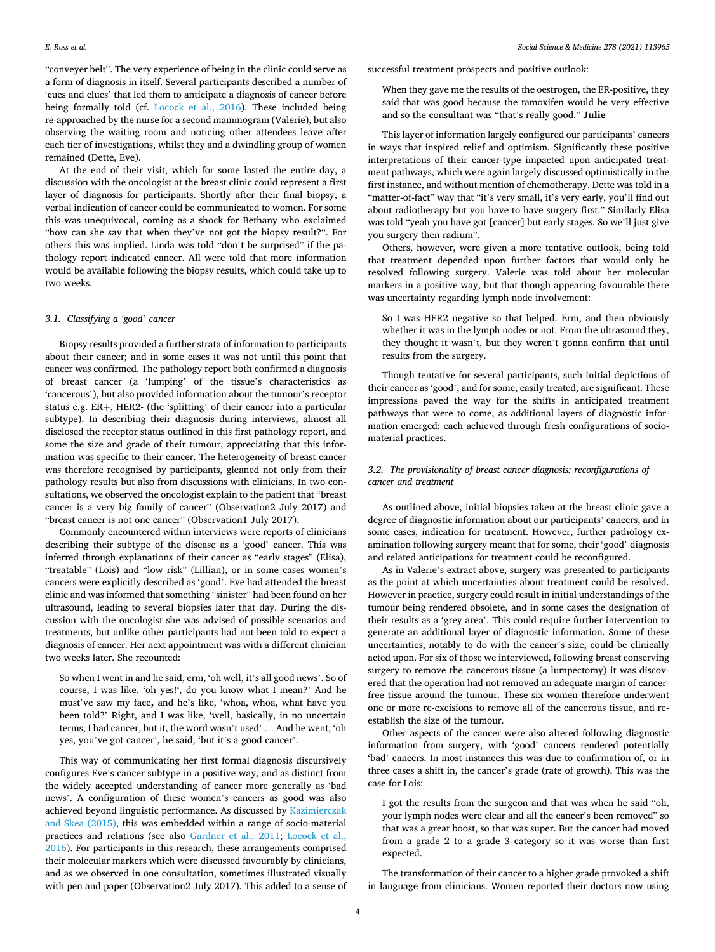"conveyer belt". The very experience of being in the clinic could serve as a form of diagnosis in itself. Several participants described a number of 'cues and clues' that led them to anticipate a diagnosis of cancer before being formally told (cf. [Locock et al., 2016\)](#page-8-0). These included being re-approached by the nurse for a second mammogram (Valerie), but also observing the waiting room and noticing other attendees leave after each tier of investigations, whilst they and a dwindling group of women remained (Dette, Eve).

At the end of their visit, which for some lasted the entire day, a discussion with the oncologist at the breast clinic could represent a first layer of diagnosis for participants. Shortly after their final biopsy, a verbal indication of cancer could be communicated to women. For some this was unequivocal, coming as a shock for Bethany who exclaimed "how can she say that when they've not got the biopsy result?". For others this was implied. Linda was told "don't be surprised" if the pathology report indicated cancer. All were told that more information would be available following the biopsy results, which could take up to two weeks.

#### *3.1. Classifying a 'good' cancer*

Biopsy results provided a further strata of information to participants about their cancer; and in some cases it was not until this point that cancer was confirmed. The pathology report both confirmed a diagnosis of breast cancer (a 'lumping' of the tissue's characteristics as 'cancerous'), but also provided information about the tumour's receptor status e.g. ER+, HER2- (the 'splitting' of their cancer into a particular subtype). In describing their diagnosis during interviews, almost all disclosed the receptor status outlined in this first pathology report, and some the size and grade of their tumour, appreciating that this information was specific to their cancer. The heterogeneity of breast cancer was therefore recognised by participants, gleaned not only from their pathology results but also from discussions with clinicians. In two consultations, we observed the oncologist explain to the patient that "breast cancer is a very big family of cancer" (Observation2 July 2017) and "breast cancer is not one cancer" (Observation1 July 2017).

Commonly encountered within interviews were reports of clinicians describing their subtype of the disease as a 'good' cancer. This was inferred through explanations of their cancer as "early stages" (Elisa), "treatable" (Lois) and "low risk" (Lillian), or in some cases women's cancers were explicitly described as 'good'. Eve had attended the breast clinic and was informed that something "sinister" had been found on her ultrasound, leading to several biopsies later that day. During the discussion with the oncologist she was advised of possible scenarios and treatments, but unlike other participants had not been told to expect a diagnosis of cancer. Her next appointment was with a different clinician two weeks later. She recounted:

So when I went in and he said, erm, 'oh well, it's all good news'. So of course, I was like, 'oh yes!', do you know what I mean?' And he must've saw my face**,** and he's like, 'whoa, whoa, what have you been told?' Right, and I was like, 'well, basically, in no uncertain terms, I had cancer, but it, the word wasn't used' … And he went, 'oh yes, you've got cancer', he said, 'but it's a good cancer'.

This way of communicating her first formal diagnosis discursively configures Eve's cancer subtype in a positive way, and as distinct from the widely accepted understanding of cancer more generally as 'bad news'. A configuration of these women's cancers as good was also achieved beyond linguistic performance. As discussed by [Kazimierczak](#page-8-0)  [and Skea \(2015\),](#page-8-0) this was embedded within a range of socio-material practices and relations (see also [Gardner et al., 2011;](#page-8-0) [Locock et al.,](#page-8-0)  [2016\)](#page-8-0). For participants in this research, these arrangements comprised their molecular markers which were discussed favourably by clinicians, and as we observed in one consultation, sometimes illustrated visually with pen and paper (Observation2 July 2017). This added to a sense of successful treatment prospects and positive outlook:

When they gave me the results of the oestrogen, the ER-positive, they said that was good because the tamoxifen would be very effective and so the consultant was "that's really good." **Julie** 

This layer of information largely configured our participants' cancers in ways that inspired relief and optimism. Significantly these positive interpretations of their cancer-type impacted upon anticipated treatment pathways, which were again largely discussed optimistically in the first instance, and without mention of chemotherapy. Dette was told in a "matter-of-fact" way that "it's very small, it's very early, you'll find out about radiotherapy but you have to have surgery first." Similarly Elisa was told "yeah you have got [cancer] but early stages. So we'll just give you surgery then radium".

Others, however, were given a more tentative outlook, being told that treatment depended upon further factors that would only be resolved following surgery. Valerie was told about her molecular markers in a positive way, but that though appearing favourable there was uncertainty regarding lymph node involvement:

So I was HER2 negative so that helped. Erm, and then obviously whether it was in the lymph nodes or not. From the ultrasound they, they thought it wasn't, but they weren't gonna confirm that until results from the surgery.

Though tentative for several participants, such initial depictions of their cancer as 'good', and for some, easily treated, are significant. These impressions paved the way for the shifts in anticipated treatment pathways that were to come, as additional layers of diagnostic information emerged; each achieved through fresh configurations of sociomaterial practices.

## *3.2. The provisionality of breast cancer diagnosis: reconfigurations of cancer and treatment*

As outlined above, initial biopsies taken at the breast clinic gave a degree of diagnostic information about our participants' cancers, and in some cases, indication for treatment. However, further pathology examination following surgery meant that for some, their 'good' diagnosis and related anticipations for treatment could be reconfigured.

As in Valerie's extract above, surgery was presented to participants as the point at which uncertainties about treatment could be resolved. However in practice, surgery could result in initial understandings of the tumour being rendered obsolete, and in some cases the designation of their results as a 'grey area'. This could require further intervention to generate an additional layer of diagnostic information. Some of these uncertainties, notably to do with the cancer's size, could be clinically acted upon. For six of those we interviewed, following breast conserving surgery to remove the cancerous tissue (a lumpectomy) it was discovered that the operation had not removed an adequate margin of cancerfree tissue around the tumour. These six women therefore underwent one or more re-excisions to remove all of the cancerous tissue, and reestablish the size of the tumour.

Other aspects of the cancer were also altered following diagnostic information from surgery, with 'good' cancers rendered potentially 'bad' cancers. In most instances this was due to confirmation of, or in three cases a shift in, the cancer's grade (rate of growth). This was the case for Lois:

I got the results from the surgeon and that was when he said "oh, your lymph nodes were clear and all the cancer's been removed" so that was a great boost, so that was super. But the cancer had moved from a grade 2 to a grade 3 category so it was worse than first expected.

The transformation of their cancer to a higher grade provoked a shift in language from clinicians. Women reported their doctors now using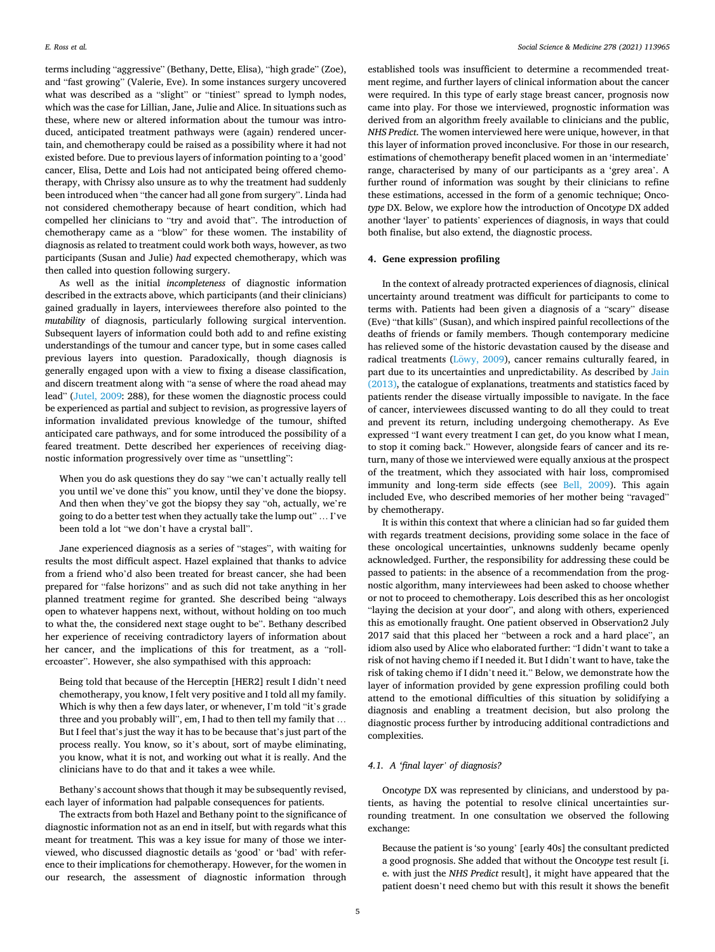terms including "aggressive" (Bethany, Dette, Elisa), "high grade" (Zoe), and "fast growing" (Valerie, Eve). In some instances surgery uncovered what was described as a "slight" or "tiniest" spread to lymph nodes, which was the case for Lillian, Jane, Julie and Alice. In situations such as these, where new or altered information about the tumour was introduced, anticipated treatment pathways were (again) rendered uncertain, and chemotherapy could be raised as a possibility where it had not existed before. Due to previous layers of information pointing to a 'good' cancer, Elisa, Dette and Lois had not anticipated being offered chemotherapy, with Chrissy also unsure as to why the treatment had suddenly been introduced when "the cancer had all gone from surgery". Linda had not considered chemotherapy because of heart condition, which had compelled her clinicians to "try and avoid that". The introduction of chemotherapy came as a "blow" for these women. The instability of diagnosis as related to treatment could work both ways, however, as two participants (Susan and Julie) *had* expected chemotherapy, which was then called into question following surgery.

As well as the initial *incompleteness* of diagnostic information described in the extracts above, which participants (and their clinicians) gained gradually in layers, interviewees therefore also pointed to the *mutability* of diagnosis, particularly following surgical intervention. Subsequent layers of information could both add to and refine existing understandings of the tumour and cancer type, but in some cases called previous layers into question. Paradoxically, though diagnosis is generally engaged upon with a view to fixing a disease classification, and discern treatment along with "a sense of where the road ahead may lead" [\(Jutel, 2009](#page-8-0): 288), for these women the diagnostic process could be experienced as partial and subject to revision, as progressive layers of information invalidated previous knowledge of the tumour, shifted anticipated care pathways, and for some introduced the possibility of a feared treatment. Dette described her experiences of receiving diagnostic information progressively over time as "unsettling":

When you do ask questions they do say "we can't actually really tell you until we've done this" you know, until they've done the biopsy. And then when they've got the biopsy they say "oh, actually, we're going to do a better test when they actually take the lump out" … I've been told a lot "we don't have a crystal ball".

Jane experienced diagnosis as a series of "stages", with waiting for results the most difficult aspect. Hazel explained that thanks to advice from a friend who'd also been treated for breast cancer, she had been prepared for "false horizons" and as such did not take anything in her planned treatment regime for granted. She described being "always open to whatever happens next, without, without holding on too much to what the, the considered next stage ought to be". Bethany described her experience of receiving contradictory layers of information about her cancer, and the implications of this for treatment, as a "rollercoaster". However, she also sympathised with this approach:

Being told that because of the Herceptin [HER2] result I didn't need chemotherapy, you know, I felt very positive and I told all my family. Which is why then a few days later, or whenever, I'm told "it's grade three and you probably will", em, I had to then tell my family that … But I feel that's just the way it has to be because that's just part of the process really. You know, so it's about, sort of maybe eliminating, you know, what it is not, and working out what it is really. And the clinicians have to do that and it takes a wee while.

Bethany's account shows that though it may be subsequently revised, each layer of information had palpable consequences for patients.

The extracts from both Hazel and Bethany point to the significance of diagnostic information not as an end in itself, but with regards what this meant for treatment*.* This was a key issue for many of those we interviewed, who discussed diagnostic details as 'good' or 'bad' with reference to their implications for chemotherapy. However, for the women in our research, the assessment of diagnostic information through

established tools was insufficient to determine a recommended treatment regime, and further layers of clinical information about the cancer were required. In this type of early stage breast cancer, prognosis now came into play. For those we interviewed, prognostic information was derived from an algorithm freely available to clinicians and the public, *NHS Predict*. The women interviewed here were unique, however, in that this layer of information proved inconclusive. For those in our research, estimations of chemotherapy benefit placed women in an 'intermediate' range, characterised by many of our participants as a 'grey area'. A further round of information was sought by their clinicians to refine these estimations, accessed in the form of a genomic technique; Onco*type* DX. Below, we explore how the introduction of Oncot*ype* DX added another 'layer' to patients' experiences of diagnosis, in ways that could both finalise, but also extend, the diagnostic process.

#### **4. Gene expression profiling**

In the context of already protracted experiences of diagnosis, clinical uncertainty around treatment was difficult for participants to come to terms with. Patients had been given a diagnosis of a "scary" disease (Eve) "that kills" (Susan), and which inspired painful recollections of the deaths of friends or family members. Though contemporary medicine has relieved some of the historic devastation caused by the disease and radical treatments (Löwy, 2009), cancer remains culturally feared, in part due to its uncertainties and unpredictability. As described by [Jain](#page-8-0)  [\(2013\),](#page-8-0) the catalogue of explanations, treatments and statistics faced by patients render the disease virtually impossible to navigate. In the face of cancer, interviewees discussed wanting to do all they could to treat and prevent its return, including undergoing chemotherapy. As Eve expressed "I want every treatment I can get, do you know what I mean, to stop it coming back." However, alongside fears of cancer and its return, many of those we interviewed were equally anxious at the prospect of the treatment, which they associated with hair loss, compromised immunity and long-term side effects (see [Bell, 2009](#page-8-0)). This again included Eve, who described memories of her mother being "ravaged" by chemotherapy.

It is within this context that where a clinician had so far guided them with regards treatment decisions, providing some solace in the face of these oncological uncertainties, unknowns suddenly became openly acknowledged. Further, the responsibility for addressing these could be passed to patients: in the absence of a recommendation from the prognostic algorithm, many interviewees had been asked to choose whether or not to proceed to chemotherapy. Lois described this as her oncologist "laying the decision at your door", and along with others, experienced this as emotionally fraught. One patient observed in Observation2 July 2017 said that this placed her "between a rock and a hard place", an idiom also used by Alice who elaborated further: "I didn't want to take a risk of not having chemo if I needed it. But I didn't want to have, take the risk of taking chemo if I didn't need it." Below, we demonstrate how the layer of information provided by gene expression profiling could both attend to the emotional difficulties of this situation by solidifying a diagnosis and enabling a treatment decision, but also prolong the diagnostic process further by introducing additional contradictions and complexities.

# *4.1. A 'final layer' of diagnosis?*

Onco*type* DX was represented by clinicians, and understood by patients, as having the potential to resolve clinical uncertainties surrounding treatment. In one consultation we observed the following exchange:

Because the patient is 'so young' [early 40s] the consultant predicted a good prognosis. She added that without the Onco*type* test result [i. e. with just the *NHS Predict* result], it might have appeared that the patient doesn't need chemo but with this result it shows the benefit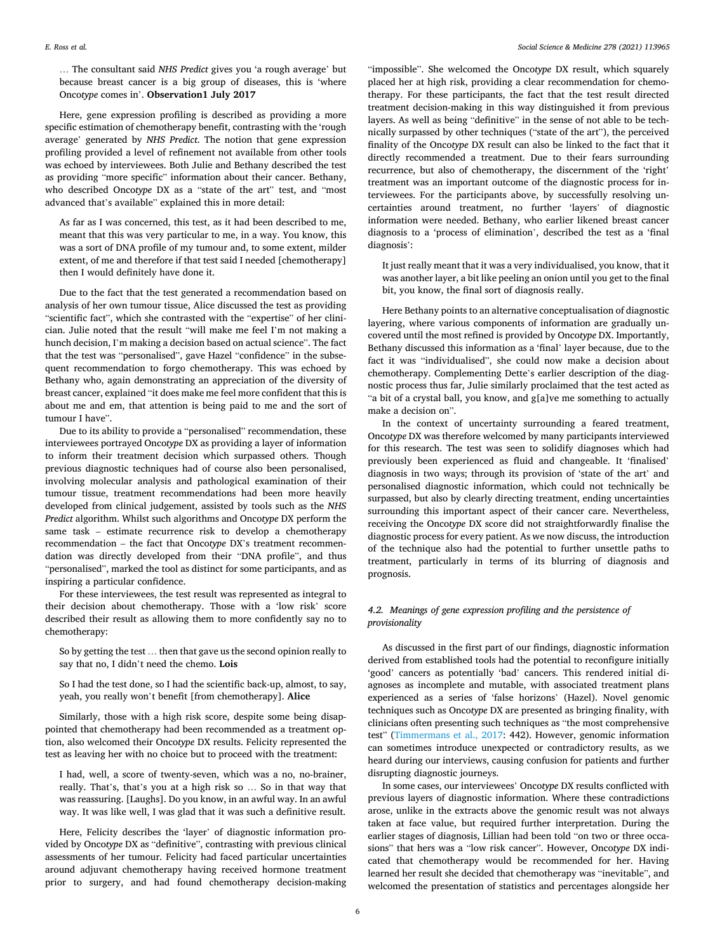… The consultant said *NHS Predict* gives you 'a rough average' but because breast cancer is a big group of diseases, this is 'where Onco*type* comes in'. **Observation1 July 2017** 

Here, gene expression profiling is described as providing a more specific estimation of chemotherapy benefit, contrasting with the 'rough average' generated by *NHS Predict*. The notion that gene expression profiling provided a level of refinement not available from other tools was echoed by interviewees. Both Julie and Bethany described the test as providing "more specific" information about their cancer. Bethany, who described Onco*type* DX as a "state of the art" test, and "most advanced that's available" explained this in more detail:

As far as I was concerned, this test, as it had been described to me, meant that this was very particular to me, in a way. You know, this was a sort of DNA profile of my tumour and, to some extent, milder extent, of me and therefore if that test said I needed [chemotherapy] then I would definitely have done it.

Due to the fact that the test generated a recommendation based on analysis of her own tumour tissue, Alice discussed the test as providing "scientific fact", which she contrasted with the "expertise" of her clinician. Julie noted that the result "will make me feel I'm not making a hunch decision, I'm making a decision based on actual science". The fact that the test was "personalised", gave Hazel "confidence" in the subsequent recommendation to forgo chemotherapy. This was echoed by Bethany who, again demonstrating an appreciation of the diversity of breast cancer, explained "it does make me feel more confident that this is about me and em, that attention is being paid to me and the sort of tumour I have".

Due to its ability to provide a "personalised" recommendation, these interviewees portrayed Onco*type* DX as providing a layer of information to inform their treatment decision which surpassed others. Though previous diagnostic techniques had of course also been personalised, involving molecular analysis and pathological examination of their tumour tissue, treatment recommendations had been more heavily developed from clinical judgement, assisted by tools such as the *NHS Predict* algorithm. Whilst such algorithms and Onco*type* DX perform the same task – estimate recurrence risk to develop a chemotherapy recommendation – the fact that Onco*type* DX's treatment recommendation was directly developed from their "DNA profile", and thus "personalised", marked the tool as distinct for some participants, and as inspiring a particular confidence.

For these interviewees, the test result was represented as integral to their decision about chemotherapy. Those with a 'low risk' score described their result as allowing them to more confidently say no to chemotherapy:

So by getting the test … then that gave us the second opinion really to say that no, I didn't need the chemo. **Lois** 

So I had the test done, so I had the scientific back-up, almost, to say, yeah, you really won't benefit [from chemotherapy]. **Alice** 

Similarly, those with a high risk score, despite some being disappointed that chemotherapy had been recommended as a treatment option, also welcomed their Onco*type* DX results. Felicity represented the test as leaving her with no choice but to proceed with the treatment:

I had, well, a score of twenty-seven, which was a no, no-brainer, really. That's, that's you at a high risk so … So in that way that was reassuring. [Laughs]. Do you know, in an awful way. In an awful way. It was like well, I was glad that it was such a definitive result.

Here, Felicity describes the 'layer' of diagnostic information provided by Onco*type* DX as "definitive", contrasting with previous clinical assessments of her tumour. Felicity had faced particular uncertainties around adjuvant chemotherapy having received hormone treatment prior to surgery, and had found chemotherapy decision-making

"impossible". She welcomed the Onco*type* DX result, which squarely placed her at high risk, providing a clear recommendation for chemotherapy. For these participants, the fact that the test result directed treatment decision-making in this way distinguished it from previous layers. As well as being "definitive" in the sense of not able to be technically surpassed by other techniques ("state of the art"), the perceived finality of the Onco*type* DX result can also be linked to the fact that it directly recommended a treatment. Due to their fears surrounding recurrence, but also of chemotherapy, the discernment of the 'right' treatment was an important outcome of the diagnostic process for interviewees. For the participants above, by successfully resolving uncertainties around treatment, no further 'layers' of diagnostic information were needed. Bethany, who earlier likened breast cancer diagnosis to a 'process of elimination', described the test as a 'final diagnosis':

It just really meant that it was a very individualised, you know, that it was another layer, a bit like peeling an onion until you get to the final bit, you know, the final sort of diagnosis really.

Here Bethany points to an alternative conceptualisation of diagnostic layering, where various components of information are gradually uncovered until the most refined is provided by Onco*type* DX. Importantly, Bethany discussed this information as a 'final' layer because, due to the fact it was "individualised", she could now make a decision about chemotherapy. Complementing Dette's earlier description of the diagnostic process thus far, Julie similarly proclaimed that the test acted as "a bit of a crystal ball, you know, and g[a]ve me something to actually make a decision on".

In the context of uncertainty surrounding a feared treatment, Onco*type* DX was therefore welcomed by many participants interviewed for this research. The test was seen to solidify diagnoses which had previously been experienced as fluid and changeable. It 'finalised' diagnosis in two ways; through its provision of 'state of the art' and personalised diagnostic information, which could not technically be surpassed, but also by clearly directing treatment, ending uncertainties surrounding this important aspect of their cancer care. Nevertheless, receiving the Onco*type* DX score did not straightforwardly finalise the diagnostic process for every patient. As we now discuss, the introduction of the technique also had the potential to further unsettle paths to treatment, particularly in terms of its blurring of diagnosis and prognosis.

# *4.2. Meanings of gene expression profiling and the persistence of provisionality*

As discussed in the first part of our findings, diagnostic information derived from established tools had the potential to reconfigure initially 'good' cancers as potentially 'bad' cancers. This rendered initial diagnoses as incomplete and mutable, with associated treatment plans experienced as a series of 'false horizons' (Hazel). Novel genomic techniques such as Onco*type* DX are presented as bringing finality, with clinicians often presenting such techniques as "the most comprehensive test" ([Timmermans et al., 2017](#page-8-0): 442). However, genomic information can sometimes introduce unexpected or contradictory results, as we heard during our interviews, causing confusion for patients and further disrupting diagnostic journeys.

In some cases, our interviewees' Onco*type* DX results conflicted with previous layers of diagnostic information. Where these contradictions arose, unlike in the extracts above the genomic result was not always taken at face value, but required further interpretation. During the earlier stages of diagnosis, Lillian had been told "on two or three occasions" that hers was a "low risk cancer". However, Onco*type* DX indicated that chemotherapy would be recommended for her. Having learned her result she decided that chemotherapy was "inevitable", and welcomed the presentation of statistics and percentages alongside her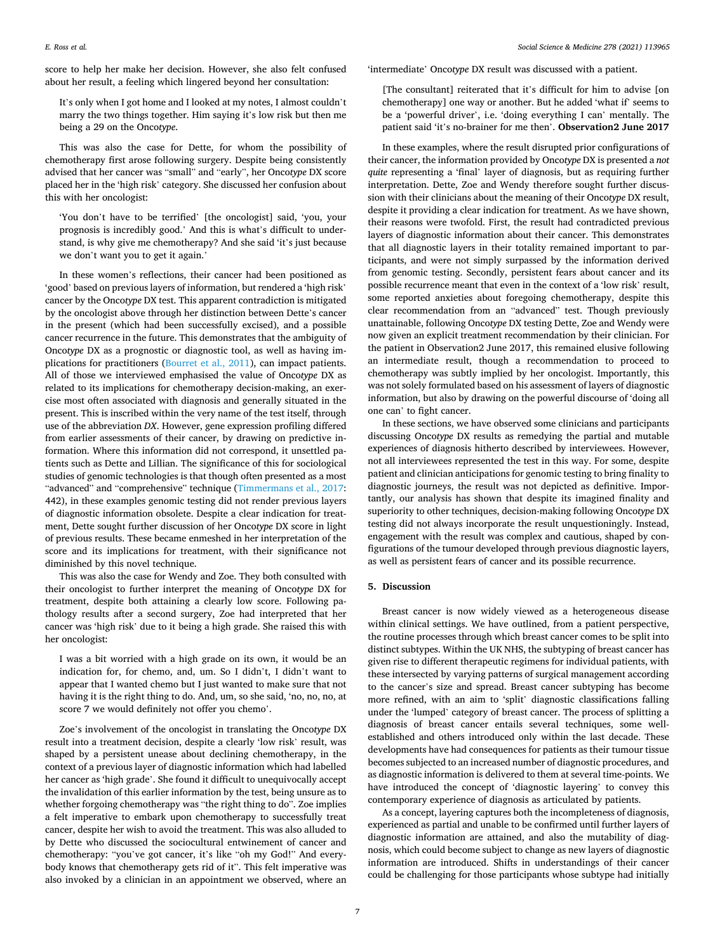score to help her make her decision. However, she also felt confused about her result, a feeling which lingered beyond her consultation:

It's only when I got home and I looked at my notes, I almost couldn't marry the two things together. Him saying it's low risk but then me being a 29 on the Onco*type*.

This was also the case for Dette, for whom the possibility of chemotherapy first arose following surgery. Despite being consistently advised that her cancer was "small" and "early", her Onco*type* DX score placed her in the 'high risk' category. She discussed her confusion about this with her oncologist:

'You don't have to be terrified' [the oncologist] said, 'you, your prognosis is incredibly good.' And this is what's difficult to understand, is why give me chemotherapy? And she said 'it's just because we don't want you to get it again.'

In these women's reflections, their cancer had been positioned as 'good' based on previous layers of information, but rendered a 'high risk' cancer by the Onco*type* DX test. This apparent contradiction is mitigated by the oncologist above through her distinction between Dette's cancer in the present (which had been successfully excised), and a possible cancer recurrence in the future. This demonstrates that the ambiguity of Onco*type* DX as a prognostic or diagnostic tool, as well as having implications for practitioners ([Bourret et al., 2011](#page-8-0)), can impact patients. All of those we interviewed emphasised the value of Onco*type* DX as related to its implications for chemotherapy decision-making, an exercise most often associated with diagnosis and generally situated in the present. This is inscribed within the very name of the test itself, through use of the abbreviation *DX*. However, gene expression profiling differed from earlier assessments of their cancer, by drawing on predictive information. Where this information did not correspond, it unsettled patients such as Dette and Lillian. The significance of this for sociological studies of genomic technologies is that though often presented as a most "advanced" and "comprehensive" technique ([Timmermans et al., 2017](#page-8-0): 442), in these examples genomic testing did not render previous layers of diagnostic information obsolete. Despite a clear indication for treatment, Dette sought further discussion of her Onco*type* DX score in light of previous results. These became enmeshed in her interpretation of the score and its implications for treatment, with their significance not diminished by this novel technique.

This was also the case for Wendy and Zoe. They both consulted with their oncologist to further interpret the meaning of Onco*type* DX for treatment, despite both attaining a clearly low score. Following pathology results after a second surgery, Zoe had interpreted that her cancer was 'high risk' due to it being a high grade. She raised this with her oncologist:

I was a bit worried with a high grade on its own, it would be an indication for, for chemo, and, um. So I didn't, I didn't want to appear that I wanted chemo but I just wanted to make sure that not having it is the right thing to do. And, um, so she said, 'no, no, no, at score 7 we would definitely not offer you chemo'.

Zoe's involvement of the oncologist in translating the Onco*type* DX result into a treatment decision, despite a clearly 'low risk' result, was shaped by a persistent unease about declining chemotherapy, in the context of a previous layer of diagnostic information which had labelled her cancer as 'high grade'. She found it difficult to unequivocally accept the invalidation of this earlier information by the test, being unsure as to whether forgoing chemotherapy was "the right thing to do". Zoe implies a felt imperative to embark upon chemotherapy to successfully treat cancer, despite her wish to avoid the treatment. This was also alluded to by Dette who discussed the sociocultural entwinement of cancer and chemotherapy: "you've got cancer, it's like "oh my God!" And everybody knows that chemotherapy gets rid of it". This felt imperative was also invoked by a clinician in an appointment we observed, where an

'intermediate' Onco*type* DX result was discussed with a patient.

[The consultant] reiterated that it's difficult for him to advise [on chemotherapy] one way or another. But he added 'what if' seems to be a 'powerful driver', i.e. 'doing everything I can' mentally. The patient said 'it's no-brainer for me then'. **Observation2 June 2017** 

In these examples, where the result disrupted prior configurations of their cancer, the information provided by Onco*type* DX is presented a *not quite* representing a 'final' layer of diagnosis, but as requiring further interpretation. Dette, Zoe and Wendy therefore sought further discussion with their clinicians about the meaning of their Onco*type* DX result, despite it providing a clear indication for treatment. As we have shown, their reasons were twofold. First, the result had contradicted previous layers of diagnostic information about their cancer. This demonstrates that all diagnostic layers in their totality remained important to participants, and were not simply surpassed by the information derived from genomic testing. Secondly, persistent fears about cancer and its possible recurrence meant that even in the context of a 'low risk' result, some reported anxieties about foregoing chemotherapy, despite this clear recommendation from an "advanced" test. Though previously unattainable, following Onco*type* DX testing Dette, Zoe and Wendy were now given an explicit treatment recommendation by their clinician. For the patient in Observation2 June 2017, this remained elusive following an intermediate result, though a recommendation to proceed to chemotherapy was subtly implied by her oncologist. Importantly, this was not solely formulated based on his assessment of layers of diagnostic information, but also by drawing on the powerful discourse of 'doing all one can' to fight cancer.

In these sections, we have observed some clinicians and participants discussing Onco*type* DX results as remedying the partial and mutable experiences of diagnosis hitherto described by interviewees. However, not all interviewees represented the test in this way. For some, despite patient and clinician anticipations for genomic testing to bring finality to diagnostic journeys, the result was not depicted as definitive. Importantly, our analysis has shown that despite its imagined finality and superiority to other techniques, decision-making following Onco*type* DX testing did not always incorporate the result unquestioningly. Instead, engagement with the result was complex and cautious, shaped by configurations of the tumour developed through previous diagnostic layers, as well as persistent fears of cancer and its possible recurrence.

# **5. Discussion**

Breast cancer is now widely viewed as a heterogeneous disease within clinical settings. We have outlined, from a patient perspective, the routine processes through which breast cancer comes to be split into distinct subtypes. Within the UK NHS, the subtyping of breast cancer has given rise to different therapeutic regimens for individual patients, with these intersected by varying patterns of surgical management according to the cancer's size and spread. Breast cancer subtyping has become more refined, with an aim to 'split' diagnostic classifications falling under the 'lumped' category of breast cancer. The process of splitting a diagnosis of breast cancer entails several techniques, some wellestablished and others introduced only within the last decade. These developments have had consequences for patients as their tumour tissue becomes subjected to an increased number of diagnostic procedures, and as diagnostic information is delivered to them at several time-points. We have introduced the concept of 'diagnostic layering' to convey this contemporary experience of diagnosis as articulated by patients.

As a concept, layering captures both the incompleteness of diagnosis, experienced as partial and unable to be confirmed until further layers of diagnostic information are attained, and also the mutability of diagnosis, which could become subject to change as new layers of diagnostic information are introduced. Shifts in understandings of their cancer could be challenging for those participants whose subtype had initially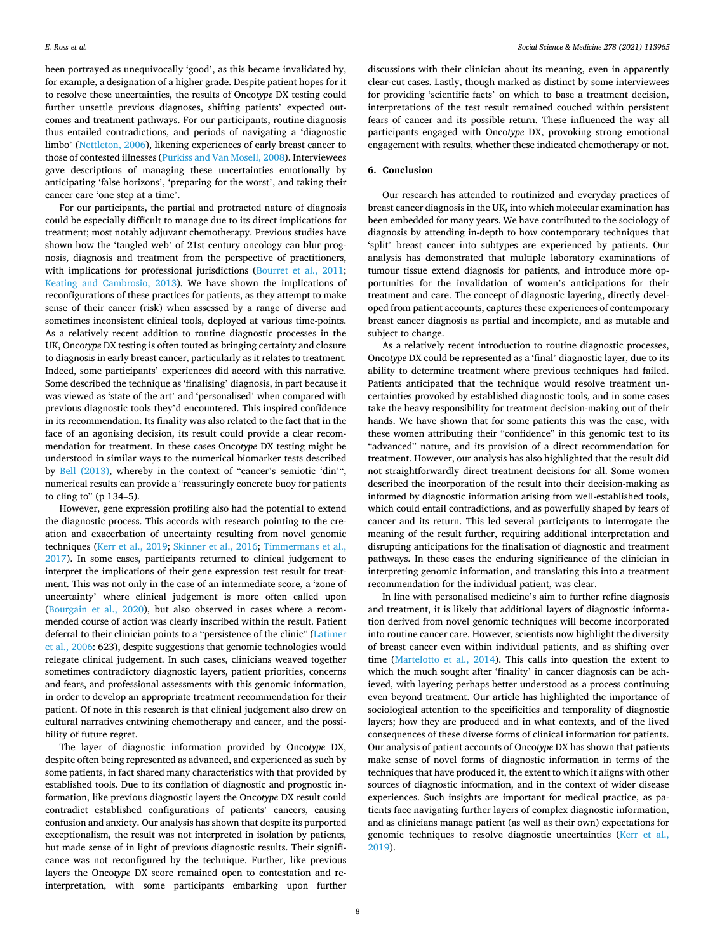been portrayed as unequivocally 'good', as this became invalidated by, for example, a designation of a higher grade. Despite patient hopes for it to resolve these uncertainties, the results of Onco*type* DX testing could further unsettle previous diagnoses, shifting patients' expected outcomes and treatment pathways. For our participants, routine diagnosis thus entailed contradictions, and periods of navigating a 'diagnostic limbo' ([Nettleton, 2006](#page-8-0)), likening experiences of early breast cancer to those of contested illnesses [\(Purkiss and Van Mosell, 2008](#page-8-0)). Interviewees gave descriptions of managing these uncertainties emotionally by anticipating 'false horizons', 'preparing for the worst', and taking their cancer care 'one step at a time'.

For our participants, the partial and protracted nature of diagnosis could be especially difficult to manage due to its direct implications for treatment; most notably adjuvant chemotherapy. Previous studies have shown how the 'tangled web' of 21st century oncology can blur prognosis, diagnosis and treatment from the perspective of practitioners, with implications for professional jurisdictions ([Bourret et al., 2011](#page-8-0); [Keating and Cambrosio, 2013](#page-8-0)). We have shown the implications of reconfigurations of these practices for patients, as they attempt to make sense of their cancer (risk) when assessed by a range of diverse and sometimes inconsistent clinical tools, deployed at various time-points. As a relatively recent addition to routine diagnostic processes in the UK, Onco*type* DX testing is often touted as bringing certainty and closure to diagnosis in early breast cancer, particularly as it relates to treatment. Indeed, some participants' experiences did accord with this narrative. Some described the technique as 'finalising' diagnosis, in part because it was viewed as 'state of the art' and 'personalised' when compared with previous diagnostic tools they'd encountered. This inspired confidence in its recommendation. Its finality was also related to the fact that in the face of an agonising decision, its result could provide a clear recommendation for treatment. In these cases Onco*type* DX testing might be understood in similar ways to the numerical biomarker tests described by [Bell \(2013\)](#page-8-0), whereby in the context of "cancer's semiotic 'din'", numerical results can provide a "reassuringly concrete buoy for patients to cling to" (p 134–5).

However, gene expression profiling also had the potential to extend the diagnostic process. This accords with research pointing to the creation and exacerbation of uncertainty resulting from novel genomic techniques [\(Kerr et al., 2019;](#page-8-0) [Skinner et al., 2016;](#page-8-0) [Timmermans et al.,](#page-8-0)  [2017\)](#page-8-0). In some cases, participants returned to clinical judgement to interpret the implications of their gene expression test result for treatment. This was not only in the case of an intermediate score, a 'zone of uncertainty' where clinical judgement is more often called upon ([Bourgain et al., 2020\)](#page-8-0), but also observed in cases where a recommended course of action was clearly inscribed within the result. Patient deferral to their clinician points to a "persistence of the clinic" [\(Latimer](#page-8-0)  [et al., 2006](#page-8-0): 623), despite suggestions that genomic technologies would relegate clinical judgement. In such cases, clinicians weaved together sometimes contradictory diagnostic layers, patient priorities, concerns and fears, and professional assessments with this genomic information, in order to develop an appropriate treatment recommendation for their patient. Of note in this research is that clinical judgement also drew on cultural narratives entwining chemotherapy and cancer, and the possibility of future regret.

The layer of diagnostic information provided by Onco*type* DX, despite often being represented as advanced, and experienced as such by some patients, in fact shared many characteristics with that provided by established tools. Due to its conflation of diagnostic and prognostic information, like previous diagnostic layers the Onco*type* DX result could contradict established configurations of patients' cancers, causing confusion and anxiety. Our analysis has shown that despite its purported exceptionalism, the result was not interpreted in isolation by patients, but made sense of in light of previous diagnostic results. Their significance was not reconfigured by the technique. Further, like previous layers the Onco*type* DX score remained open to contestation and reinterpretation, with some participants embarking upon further

discussions with their clinician about its meaning, even in apparently clear-cut cases. Lastly, though marked as distinct by some interviewees for providing 'scientific facts' on which to base a treatment decision, interpretations of the test result remained couched within persistent fears of cancer and its possible return. These influenced the way all participants engaged with Onco*type* DX, provoking strong emotional engagement with results, whether these indicated chemotherapy or not.

#### **6. Conclusion**

Our research has attended to routinized and everyday practices of breast cancer diagnosis in the UK, into which molecular examination has been embedded for many years. We have contributed to the sociology of diagnosis by attending in-depth to how contemporary techniques that 'split' breast cancer into subtypes are experienced by patients. Our analysis has demonstrated that multiple laboratory examinations of tumour tissue extend diagnosis for patients, and introduce more opportunities for the invalidation of women's anticipations for their treatment and care. The concept of diagnostic layering, directly developed from patient accounts, captures these experiences of contemporary breast cancer diagnosis as partial and incomplete, and as mutable and subject to change.

As a relatively recent introduction to routine diagnostic processes, Onco*type* DX could be represented as a 'final' diagnostic layer, due to its ability to determine treatment where previous techniques had failed. Patients anticipated that the technique would resolve treatment uncertainties provoked by established diagnostic tools, and in some cases take the heavy responsibility for treatment decision-making out of their hands. We have shown that for some patients this was the case, with these women attributing their "confidence" in this genomic test to its "advanced" nature, and its provision of a direct recommendation for treatment. However, our analysis has also highlighted that the result did not straightforwardly direct treatment decisions for all. Some women described the incorporation of the result into their decision-making as informed by diagnostic information arising from well-established tools, which could entail contradictions, and as powerfully shaped by fears of cancer and its return. This led several participants to interrogate the meaning of the result further, requiring additional interpretation and disrupting anticipations for the finalisation of diagnostic and treatment pathways. In these cases the enduring significance of the clinician in interpreting genomic information, and translating this into a treatment recommendation for the individual patient, was clear.

In line with personalised medicine's aim to further refine diagnosis and treatment, it is likely that additional layers of diagnostic information derived from novel genomic techniques will become incorporated into routine cancer care. However, scientists now highlight the diversity of breast cancer even within individual patients, and as shifting over time [\(Martelotto et al., 2014\)](#page-8-0). This calls into question the extent to which the much sought after 'finality' in cancer diagnosis can be achieved, with layering perhaps better understood as a process continuing even beyond treatment. Our article has highlighted the importance of sociological attention to the specificities and temporality of diagnostic layers; how they are produced and in what contexts, and of the lived consequences of these diverse forms of clinical information for patients. Our analysis of patient accounts of Onco*type* DX has shown that patients make sense of novel forms of diagnostic information in terms of the techniques that have produced it, the extent to which it aligns with other sources of diagnostic information, and in the context of wider disease experiences. Such insights are important for medical practice, as patients face navigating further layers of complex diagnostic information, and as clinicians manage patient (as well as their own) expectations for genomic techniques to resolve diagnostic uncertainties [\(Kerr et al.,](#page-8-0)  [2019\)](#page-8-0).